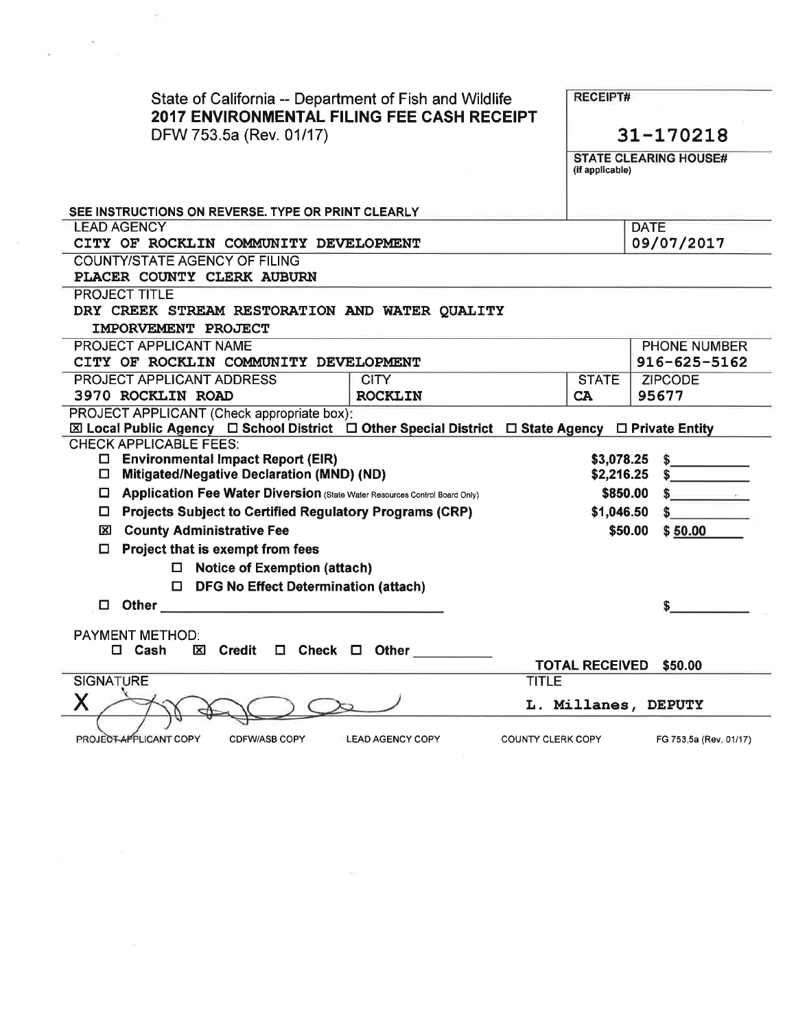| State of California -- Department of Fish and Wildlife<br><b>2017 ENVIRONMENTAL FILING FEE CASH RECEIPT</b><br>DFW 753.5a (Rev. 01/17)                                                                                              |                       | <b>RECEIPT#</b><br>31-170218 |  |
|-------------------------------------------------------------------------------------------------------------------------------------------------------------------------------------------------------------------------------------|-----------------------|------------------------------|--|
|                                                                                                                                                                                                                                     | (if applicable)       | <b>STATE CLEARING HOUSE#</b> |  |
| SEE INSTRUCTIONS ON REVERSE. TYPE OR PRINT CLEARLY                                                                                                                                                                                  |                       |                              |  |
| <b>LEAD AGENCY</b>                                                                                                                                                                                                                  |                       | <b>DATE</b>                  |  |
| CITY OF ROCKLIN COMMUNITY DEVELOPMENT                                                                                                                                                                                               | 09/07/2017            |                              |  |
| COUNTY/STATE AGENCY OF FILING                                                                                                                                                                                                       |                       |                              |  |
| PLACER COUNTY CLERK AUBURN                                                                                                                                                                                                          |                       |                              |  |
| <b>PROJECT TITLE</b>                                                                                                                                                                                                                |                       |                              |  |
| DRY CREEK STREAM RESTORATION AND WATER QUALITY                                                                                                                                                                                      |                       |                              |  |
| IMPORVEMENT PROJECT                                                                                                                                                                                                                 |                       |                              |  |
| PROJECT APPLICANT NAME                                                                                                                                                                                                              |                       | PHONE NUMBER                 |  |
| CITY OF ROCKLIN COMMUNITY DEVELOPMENT                                                                                                                                                                                               |                       | $916 - 625 - 5162$           |  |
| <b>PROJECT APPLICANT ADDRESS</b><br><b>CITY</b>                                                                                                                                                                                     | <b>STATE</b>          | <b>ZIPCODE</b>               |  |
| 3970 ROCKLIN ROAD<br><b>ROCKLIN</b>                                                                                                                                                                                                 | <b>CA</b>             | 95677                        |  |
| PROJECT APPLICANT (Check appropriate box):                                                                                                                                                                                          |                       |                              |  |
| ⊠ Local Public Agency □ School District □ Other Special District □ State Agency □ Private Entity                                                                                                                                    |                       |                              |  |
| <b>CHECK APPLICABLE FEES:</b><br>$\Box$ Environmental Impact Report (EIR)                                                                                                                                                           |                       | $$3,078.25$ \$               |  |
| $\Box$ Mitigated/Negative Declaration (MND) (ND)                                                                                                                                                                                    |                       | $$2,216.25$ \$               |  |
| Application Fee Water Diversion (State Water Resources Control Board Only)                                                                                                                                                          |                       | $$850.00 \t$$                |  |
| <b>Projects Subject to Certified Regulatory Programs (CRP)</b><br>□                                                                                                                                                                 |                       | $$1,046.50$ \$               |  |
|                                                                                                                                                                                                                                     |                       |                              |  |
| <b>区 County Administrative Fee</b>                                                                                                                                                                                                  |                       | \$50.00 \$50.00              |  |
| Project that is exempt from fees                                                                                                                                                                                                    |                       |                              |  |
| $\Box$ Notice of Exemption (attach)                                                                                                                                                                                                 |                       |                              |  |
| $\Box$ DFG No Effect Determination (attach)                                                                                                                                                                                         |                       |                              |  |
| Other the contract of the contract of the contract of the contract of the contract of the contract of the contract of the contract of the contract of the contract of the contract of the contract of the contract of the cont<br>□ |                       |                              |  |
| <b>PAYMENT METHOD:</b>                                                                                                                                                                                                              |                       |                              |  |
| $\square$ Cash<br><b>区 Credit</b><br>$\square$ Check $\square$ Other                                                                                                                                                                |                       |                              |  |
|                                                                                                                                                                                                                                     | <b>TOTAL RECEIVED</b> | \$50.00                      |  |
|                                                                                                                                                                                                                                     |                       |                              |  |
| <b>SIGNATURE</b><br><b>TITLE</b>                                                                                                                                                                                                    |                       |                              |  |
|                                                                                                                                                                                                                                     |                       | L. Millanes, DEPUTY          |  |

 $\sim$   $\sim$ 

 $\mu^{\rm{max}}$  , where  $\mu$